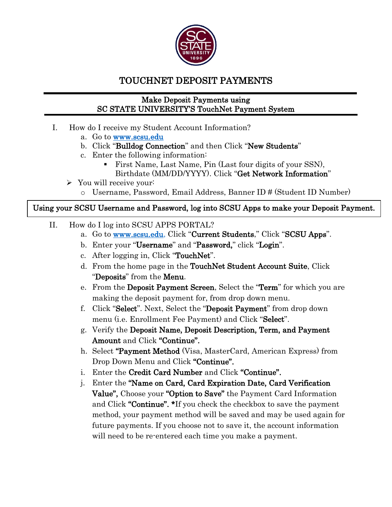

## TOUCHNET DEPOSIT PAYMENTS

## Make Deposit Payments using SC STATE UNIVERSITY'S TouchNet Payment System

- I. How do I receive my Student Account Information?
	- a. Go to [www.scsu.edu](http://www.scsu.edu/)
	- b. Click "Bulldog Connection" and then Click "New Students"
	- c. Enter the following information:
		- First Name, Last Name, Pin (Last four digits of your SSN), Birthdate (MM/DD/YYYY). Click "Get Network Information"
	- $\triangleright$  You will receive your:
		- o Username, Password, Email Address, Banner ID # (Student ID Number)

## Using your SCSU Username and Password, log into SCSU Apps to make your Deposit Payment.

- II. How do I log into SCSU APPS PORTAL?
	- a. Go to [www.scsu.edu,](http://www.scsu.edu/) Click "Current Students," Click "SCSU Apps".
	- b. Enter your "Username" and "Password," click "Login".
	- c. After logging in, Click "TouchNet".
	- d. From the home page in the TouchNet Student Account Suite, Click "Deposits" from the Menu.
	- e. From the Deposit Payment Screen, Select the "Term" for which you are making the deposit payment for, from drop down menu.
	- f. Click "Select". Next, Select the "Deposit Payment" from drop down menu (i.e. Enrollment Fee Payment) and Click "Select".
	- g. Verify the Deposit Name, Deposit Description, Term, and Payment Amount and Click "Continue".
	- h. Select "Payment Method (Visa, MasterCard, American Express) from Drop Down Menu and Click "Continue".
	- i. Enter the Credit Card Number and Click "Continue".
	- j. Enter the "Name on Card, Card Expiration Date, Card Verification Value", Choose your "Option to Save" the Payment Card Information and Click "**Continue".** \*If you check the checkbox to save the payment method, your payment method will be saved and may be used again for future payments. If you choose not to save it, the account information will need to be re-entered each time you make a payment.